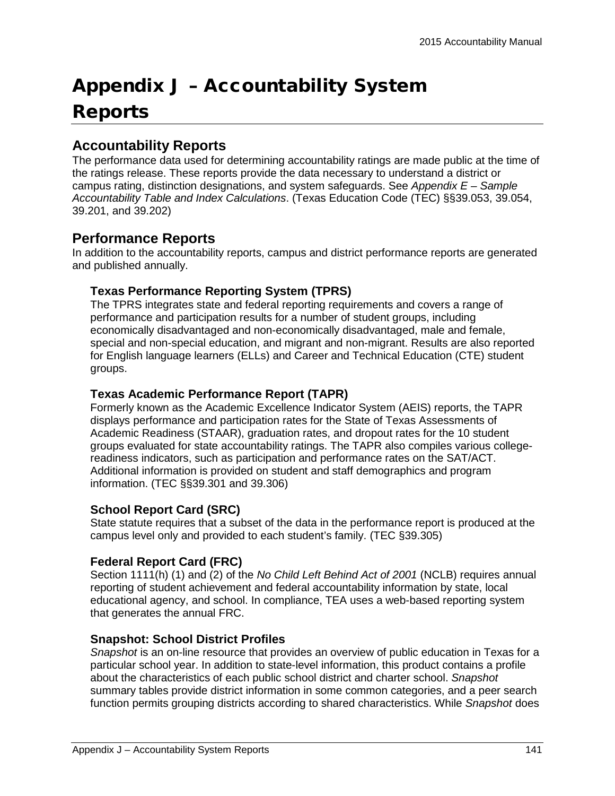# Appendix J – Accountability System Reports

# **Accountability Reports**

The performance data used for determining accountability ratings are made public at the time of the ratings release. These reports provide the data necessary to understand a district or campus rating, distinction designations, and system safeguards. See *Appendix E – Sample Accountability Table and Index Calculations*. (Texas Education Code (TEC) §§39.053, 39.054, 39.201, and 39.202)

# **Performance Reports**

In addition to the accountability reports, campus and district performance reports are generated and published annually.

#### **Texas Performance Reporting System (TPRS)**

The TPRS integrates state and federal reporting requirements and covers a range of performance and participation results for a number of student groups, including economically disadvantaged and non-economically disadvantaged, male and female, special and non-special education, and migrant and non-migrant. Results are also reported for English language learners (ELLs) and Career and Technical Education (CTE) student groups.

### **Texas Academic Performance Report (TAPR)**

Formerly known as the Academic Excellence Indicator System (AEIS) reports, the TAPR displays performance and participation rates for the State of Texas Assessments of Academic Readiness (STAAR), graduation rates, and dropout rates for the 10 student groups evaluated for state accountability ratings. The TAPR also compiles various collegereadiness indicators, such as participation and performance rates on the SAT/ACT. Additional information is provided on student and staff demographics and program information. (TEC §§39.301 and 39.306)

## **School Report Card (SRC)**

State statute requires that a subset of the data in the performance report is produced at the campus level only and provided to each student's family. (TEC §39.305)

## **Federal Report Card (FRC)**

Section 1111(h) (1) and (2) of the *No Child Left Behind Act of 2001* (NCLB) requires annual reporting of student achievement and federal accountability information by state, local educational agency, and school. In compliance, TEA uses a web-based reporting system that generates the annual FRC.

#### **Snapshot: School District Profiles**

*Snapshot* is an on-line resource that provides an overview of public education in Texas for a particular school year. In addition to state-level information, this product contains a profile about the characteristics of each public school district and charter school. *Snapshot*  summary tables provide district information in some common categories, and a peer search function permits grouping districts according to shared characteristics. While *Snapshot* does